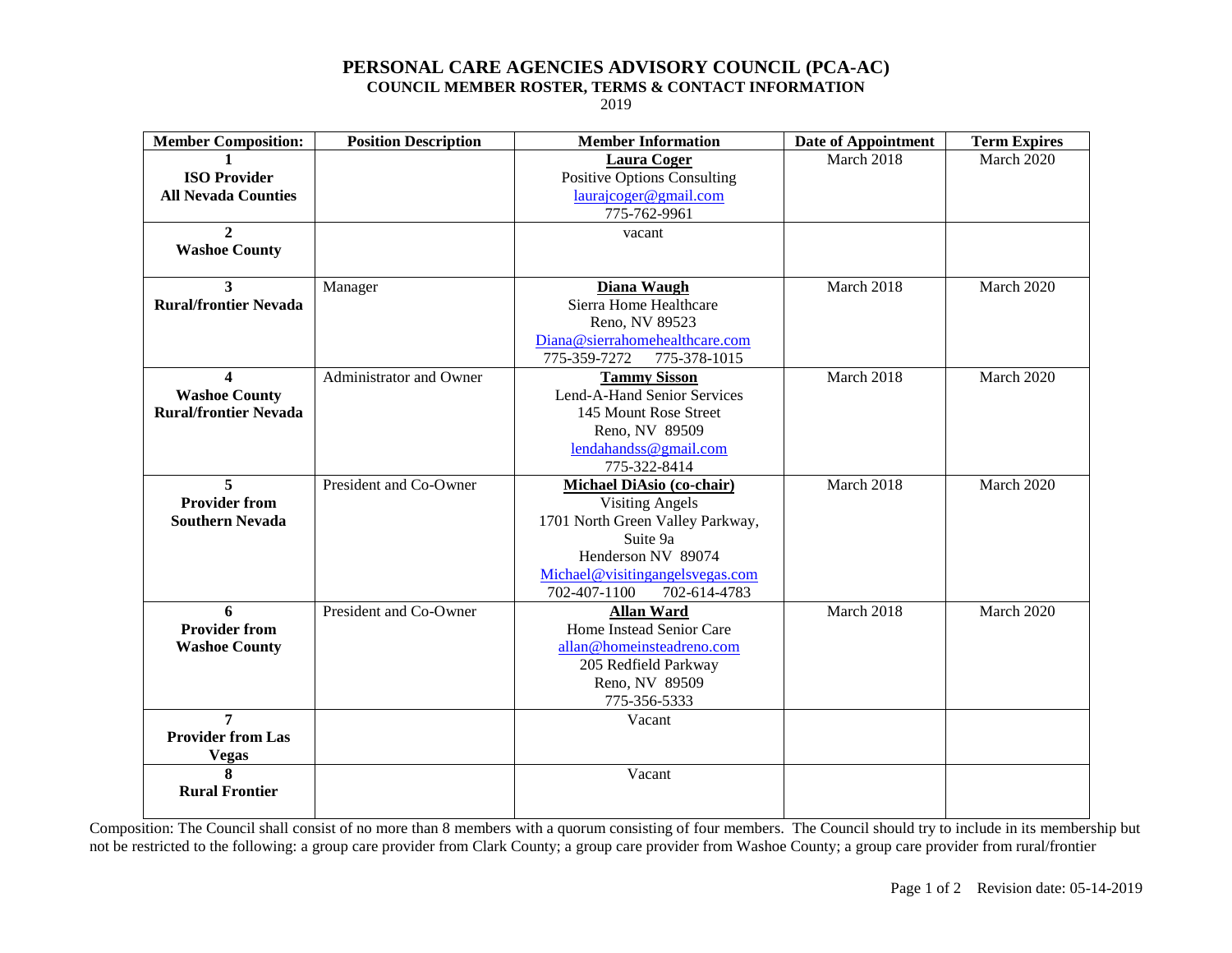## **PERSONAL CARE AGENCIES ADVISORY COUNCIL (PCA-AC)**

**COUNCIL MEMBER ROSTER, TERMS & CONTACT INFORMATION**

2019

| March 2018<br>March 2020<br><b>Laura Coger</b><br><b>ISO Provider</b><br><b>Positive Options Consulting</b><br><b>All Nevada Counties</b><br>laurajcoger@gmail.com<br>775-762-9961<br>$\mathbf{2}$<br>vacant<br><b>Washoe County</b><br>March 2018<br>March 2020<br>Diana Waugh<br>Manager<br>3<br><b>Rural/frontier Nevada</b><br>Sierra Home Healthcare<br>Reno, NV 89523<br>Diana@sierrahomehealthcare.com<br>775-359-7272<br>775-378-1015<br>Administrator and Owner<br><b>Tammy Sisson</b><br>March 2018<br>March 2020<br>4<br><b>Washoe County</b><br>Lend-A-Hand Senior Services<br><b>Rural/frontier Nevada</b><br>145 Mount Rose Street<br>Reno, NV 89509<br>lendahandss@gmail.com<br>775-322-8414<br>$\overline{5}$<br>President and Co-Owner<br>March 2018<br>March 2020<br><b>Michael DiAsio (co-chair)</b><br><b>Provider from</b><br><b>Visiting Angels</b><br><b>Southern Nevada</b><br>1701 North Green Valley Parkway,<br>Suite 9a<br>Henderson NV 89074<br>Michael@visitingangelsvegas.com<br>702-407-1100<br>702-614-4783<br>6<br>President and Co-Owner<br><b>Allan Ward</b><br>March 2018<br>March 2020<br><b>Provider from</b><br>Home Instead Senior Care<br>allan@homeinsteadreno.com<br><b>Washoe County</b><br>205 Redfield Parkway<br>Reno, NV 89509<br>775-356-5333<br>7<br>Vacant<br><b>Provider from Las</b><br><b>Vegas</b><br>8<br>Vacant | <b>Member Composition:</b> | <b>Position Description</b> | <b>Member Information</b> | <b>Date of Appointment</b> | <b>Term Expires</b> |
|---------------------------------------------------------------------------------------------------------------------------------------------------------------------------------------------------------------------------------------------------------------------------------------------------------------------------------------------------------------------------------------------------------------------------------------------------------------------------------------------------------------------------------------------------------------------------------------------------------------------------------------------------------------------------------------------------------------------------------------------------------------------------------------------------------------------------------------------------------------------------------------------------------------------------------------------------------------------------------------------------------------------------------------------------------------------------------------------------------------------------------------------------------------------------------------------------------------------------------------------------------------------------------------------------------------------------------------------------------------------------|----------------------------|-----------------------------|---------------------------|----------------------------|---------------------|
|                                                                                                                                                                                                                                                                                                                                                                                                                                                                                                                                                                                                                                                                                                                                                                                                                                                                                                                                                                                                                                                                                                                                                                                                                                                                                                                                                                           |                            |                             |                           |                            |                     |
|                                                                                                                                                                                                                                                                                                                                                                                                                                                                                                                                                                                                                                                                                                                                                                                                                                                                                                                                                                                                                                                                                                                                                                                                                                                                                                                                                                           |                            |                             |                           |                            |                     |
|                                                                                                                                                                                                                                                                                                                                                                                                                                                                                                                                                                                                                                                                                                                                                                                                                                                                                                                                                                                                                                                                                                                                                                                                                                                                                                                                                                           |                            |                             |                           |                            |                     |
|                                                                                                                                                                                                                                                                                                                                                                                                                                                                                                                                                                                                                                                                                                                                                                                                                                                                                                                                                                                                                                                                                                                                                                                                                                                                                                                                                                           |                            |                             |                           |                            |                     |
|                                                                                                                                                                                                                                                                                                                                                                                                                                                                                                                                                                                                                                                                                                                                                                                                                                                                                                                                                                                                                                                                                                                                                                                                                                                                                                                                                                           |                            |                             |                           |                            |                     |
|                                                                                                                                                                                                                                                                                                                                                                                                                                                                                                                                                                                                                                                                                                                                                                                                                                                                                                                                                                                                                                                                                                                                                                                                                                                                                                                                                                           |                            |                             |                           |                            |                     |
|                                                                                                                                                                                                                                                                                                                                                                                                                                                                                                                                                                                                                                                                                                                                                                                                                                                                                                                                                                                                                                                                                                                                                                                                                                                                                                                                                                           | <b>Rural Frontier</b>      |                             |                           |                            |                     |

Composition: The Council shall consist of no more than 8 members with a quorum consisting of four members. The Council should try to include in its membership but not be restricted to the following: a group care provider from Clark County; a group care provider from Washoe County; a group care provider from rural/frontier